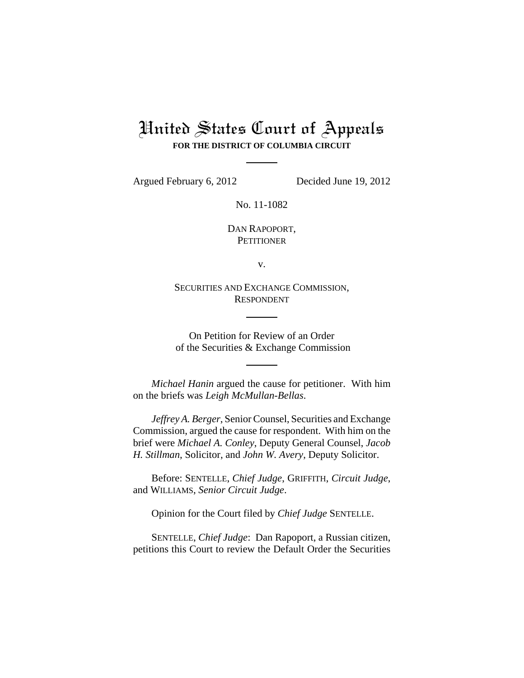# United States Court of Appeals **FOR THE DISTRICT OF COLUMBIA CIRCUIT**

Argued February 6, 2012 Decided June 19, 2012

No. 11-1082

DAN RAPOPORT, **PETITIONER** 

v.

SECURITIES AND EXCHANGE COMMISSION, RESPONDENT

On Petition for Review of an Order of the Securities & Exchange Commission

*Michael Hanin* argued the cause for petitioner. With him on the briefs was *Leigh McMullan-Bellas*.

*Jeffrey A. Berger*, Senior Counsel, Securities and Exchange Commission, argued the cause for respondent. With him on the brief were *Michael A. Conley*, Deputy General Counsel, *Jacob H. Stillman*, Solicitor, and *John W. Avery*, Deputy Solicitor.

Before: SENTELLE, *Chief Judge*, GRIFFITH, *Circuit Judge*, and WILLIAMS, *Senior Circuit Judge*.

Opinion for the Court filed by *Chief Judge* SENTELLE.

SENTELLE, *Chief Judge*: Dan Rapoport, a Russian citizen, petitions this Court to review the Default Order the Securities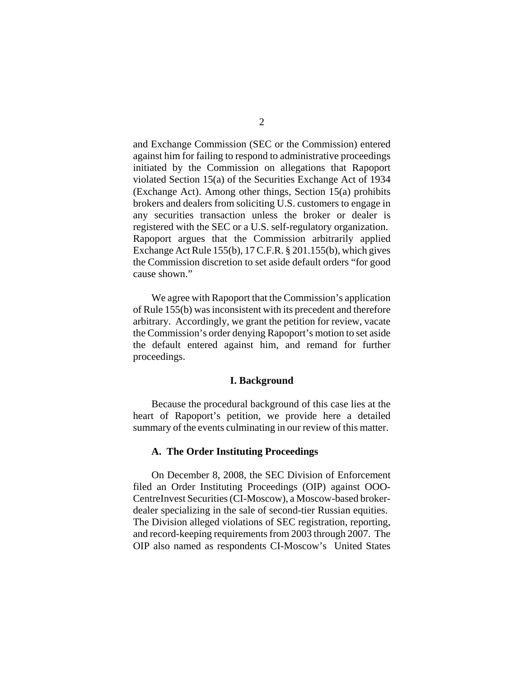and Exchange Commission (SEC or the Commission) entered against him for failing to respond to administrative proceedings initiated by the Commission on allegations that Rapoport violated Section 15(a) of the Securities Exchange Act of 1934 (Exchange Act). Among other things, Section 15(a) prohibits brokers and dealers from soliciting U.S. customers to engage in any securities transaction unless the broker or dealer is registered with the SEC or a U.S. self-regulatory organization. Rapoport argues that the Commission arbitrarily applied Exchange Act Rule 155(b), 17 C.F.R. § 201.155(b), which gives the Commission discretion to set aside default orders "for good cause shown."

We agree with Rapoport that the Commission's application of Rule 155(b) was inconsistent with its precedent and therefore arbitrary. Accordingly, we grant the petition for review, vacate the Commission's order denying Rapoport's motion to set aside the default entered against him, and remand for further proceedings.

## **I. Background**

Because the procedural background of this case lies at the heart of Rapoport's petition, we provide here a detailed summary of the events culminating in our review of this matter.

# **A. The Order Instituting Proceedings**

On December 8, 2008, the SEC Division of Enforcement filed an Order Instituting Proceedings (OIP) against OOO-CentreInvest Securities (CI-Moscow), a Moscow-based brokerdealer specializing in the sale of second-tier Russian equities. The Division alleged violations of SEC registration, reporting, and record-keeping requirements from 2003 through 2007. The OIP also named as respondents CI-Moscow's United States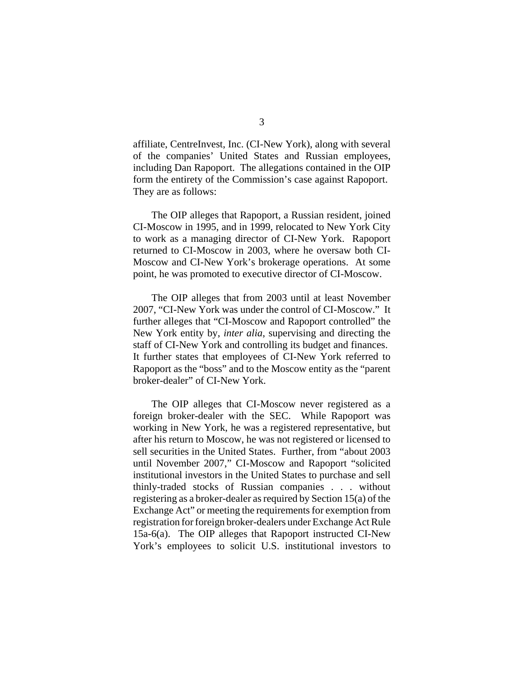affiliate, CentreInvest, Inc. (CI-New York), along with several of the companies' United States and Russian employees, including Dan Rapoport. The allegations contained in the OIP form the entirety of the Commission's case against Rapoport. They are as follows:

The OIP alleges that Rapoport, a Russian resident, joined CI-Moscow in 1995, and in 1999, relocated to New York City to work as a managing director of CI-New York. Rapoport returned to CI-Moscow in 2003, where he oversaw both CI-Moscow and CI-New York's brokerage operations. At some point, he was promoted to executive director of CI-Moscow.

The OIP alleges that from 2003 until at least November 2007, "CI-New York was under the control of CI-Moscow." It further alleges that "CI-Moscow and Rapoport controlled" the New York entity by, *inter alia*, supervising and directing the staff of CI-New York and controlling its budget and finances. It further states that employees of CI-New York referred to Rapoport as the "boss" and to the Moscow entity as the "parent broker-dealer" of CI-New York.

The OIP alleges that CI-Moscow never registered as a foreign broker-dealer with the SEC. While Rapoport was working in New York, he was a registered representative, but after his return to Moscow, he was not registered or licensed to sell securities in the United States. Further, from "about 2003 until November 2007," CI-Moscow and Rapoport "solicited institutional investors in the United States to purchase and sell thinly-traded stocks of Russian companies . . . without registering as a broker-dealer as required by Section 15(a) of the Exchange Act" or meeting the requirements for exemption from registration for foreign broker-dealers under Exchange Act Rule 15a-6(a). The OIP alleges that Rapoport instructed CI-New York's employees to solicit U.S. institutional investors to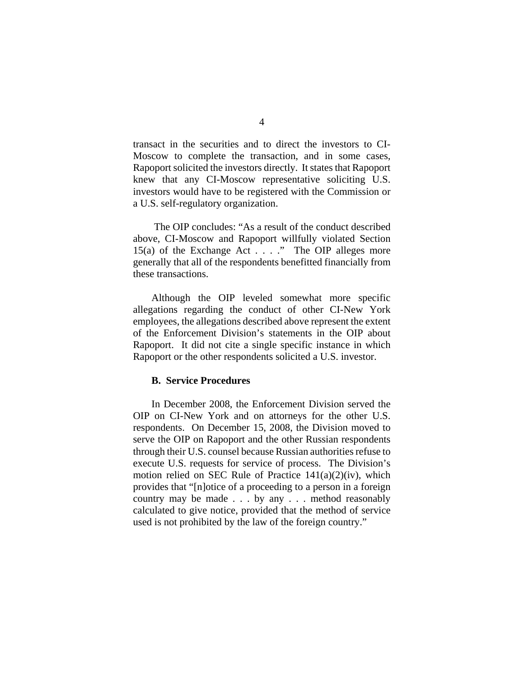transact in the securities and to direct the investors to CI-Moscow to complete the transaction, and in some cases, Rapoport solicited the investors directly. It states that Rapoport knew that any CI-Moscow representative soliciting U.S. investors would have to be registered with the Commission or a U.S. self-regulatory organization.

 The OIP concludes: "As a result of the conduct described above, CI-Moscow and Rapoport willfully violated Section 15(a) of the Exchange Act  $\dots$  ." The OIP alleges more generally that all of the respondents benefitted financially from these transactions.

Although the OIP leveled somewhat more specific allegations regarding the conduct of other CI-New York employees, the allegations described above represent the extent of the Enforcement Division's statements in the OIP about Rapoport. It did not cite a single specific instance in which Rapoport or the other respondents solicited a U.S. investor.

## **B. Service Procedures**

In December 2008, the Enforcement Division served the OIP on CI-New York and on attorneys for the other U.S. respondents. On December 15, 2008, the Division moved to serve the OIP on Rapoport and the other Russian respondents through their U.S. counsel because Russian authorities refuse to execute U.S. requests for service of process. The Division's motion relied on SEC Rule of Practice 141(a)(2)(iv), which provides that "[n]otice of a proceeding to a person in a foreign country may be made . . . by any . . . method reasonably calculated to give notice, provided that the method of service used is not prohibited by the law of the foreign country."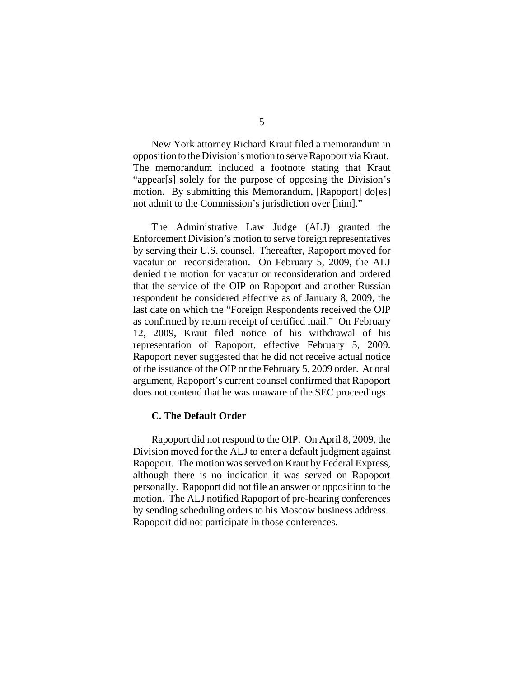New York attorney Richard Kraut filed a memorandum in opposition to the Division's motion to serve Rapoport via Kraut. The memorandum included a footnote stating that Kraut "appear[s] solely for the purpose of opposing the Division's motion. By submitting this Memorandum, [Rapoport] do[es] not admit to the Commission's jurisdiction over [him]."

The Administrative Law Judge (ALJ) granted the Enforcement Division's motion to serve foreign representatives by serving their U.S. counsel. Thereafter, Rapoport moved for vacatur or reconsideration. On February 5, 2009, the ALJ denied the motion for vacatur or reconsideration and ordered that the service of the OIP on Rapoport and another Russian respondent be considered effective as of January 8, 2009, the last date on which the "Foreign Respondents received the OIP as confirmed by return receipt of certified mail." On February 12, 2009, Kraut filed notice of his withdrawal of his representation of Rapoport, effective February 5, 2009. Rapoport never suggested that he did not receive actual notice of the issuance of the OIP or the February 5, 2009 order. At oral argument, Rapoport's current counsel confirmed that Rapoport does not contend that he was unaware of the SEC proceedings.

#### **C. The Default Order**

Rapoport did not respond to the OIP. On April 8, 2009, the Division moved for the ALJ to enter a default judgment against Rapoport. The motion was served on Kraut by Federal Express, although there is no indication it was served on Rapoport personally. Rapoport did not file an answer or opposition to the motion. The ALJ notified Rapoport of pre-hearing conferences by sending scheduling orders to his Moscow business address. Rapoport did not participate in those conferences.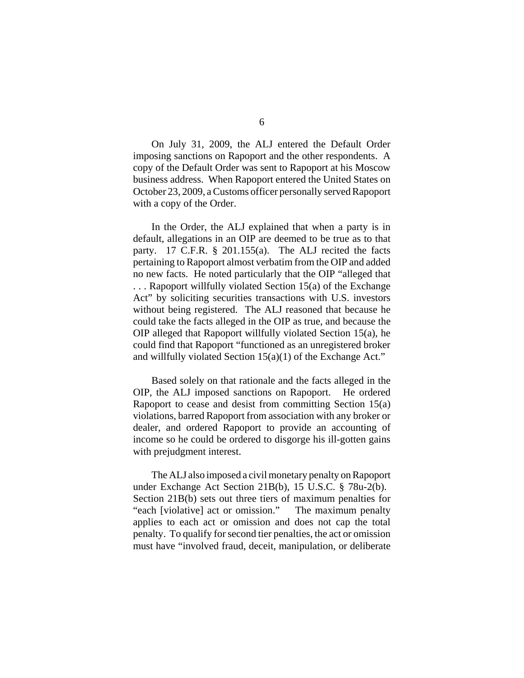On July 31, 2009, the ALJ entered the Default Order imposing sanctions on Rapoport and the other respondents. A copy of the Default Order was sent to Rapoport at his Moscow business address. When Rapoport entered the United States on October 23, 2009, a Customs officer personally served Rapoport with a copy of the Order.

In the Order, the ALJ explained that when a party is in default, allegations in an OIP are deemed to be true as to that party. 17 C.F.R. § 201.155(a). The ALJ recited the facts pertaining to Rapoport almost verbatim from the OIP and added no new facts. He noted particularly that the OIP "alleged that . . . Rapoport willfully violated Section 15(a) of the Exchange Act" by soliciting securities transactions with U.S. investors without being registered. The ALJ reasoned that because he could take the facts alleged in the OIP as true, and because the OIP alleged that Rapoport willfully violated Section 15(a), he could find that Rapoport "functioned as an unregistered broker and willfully violated Section 15(a)(1) of the Exchange Act."

Based solely on that rationale and the facts alleged in the OIP, the ALJ imposed sanctions on Rapoport. He ordered Rapoport to cease and desist from committing Section 15(a) violations, barred Rapoport from association with any broker or dealer, and ordered Rapoport to provide an accounting of income so he could be ordered to disgorge his ill-gotten gains with prejudgment interest.

The ALJ also imposed a civil monetary penalty on Rapoport under Exchange Act Section 21B(b), 15 U.S.C. § 78u-2(b). Section 21B(b) sets out three tiers of maximum penalties for "each [violative] act or omission." The maximum penalty applies to each act or omission and does not cap the total penalty. To qualify for second tier penalties, the act or omission must have "involved fraud, deceit, manipulation, or deliberate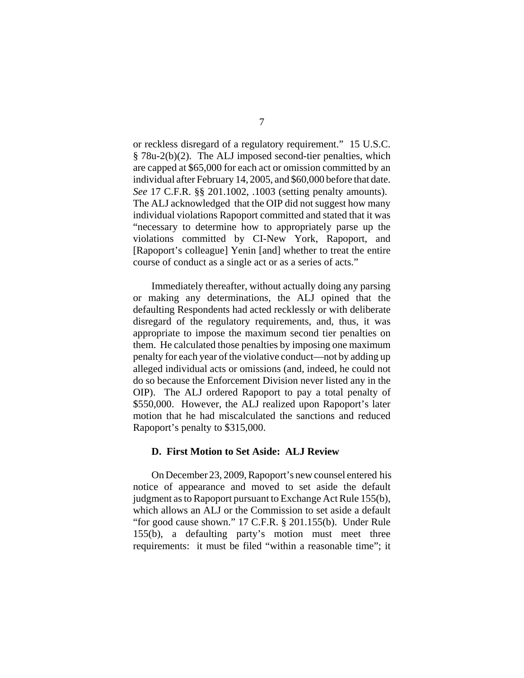or reckless disregard of a regulatory requirement." 15 U.S.C. § 78u-2(b)(2). The ALJ imposed second-tier penalties, which are capped at \$65,000 for each act or omission committed by an individual after February 14, 2005, and \$60,000 before that date. *See* 17 C.F.R. §§ 201.1002, .1003 (setting penalty amounts). The ALJ acknowledged that the OIP did not suggest how many individual violations Rapoport committed and stated that it was "necessary to determine how to appropriately parse up the violations committed by CI-New York, Rapoport, and [Rapoport's colleague] Yenin [and] whether to treat the entire course of conduct as a single act or as a series of acts."

Immediately thereafter, without actually doing any parsing or making any determinations, the ALJ opined that the defaulting Respondents had acted recklessly or with deliberate disregard of the regulatory requirements, and, thus, it was appropriate to impose the maximum second tier penalties on them. He calculated those penalties by imposing one maximum penalty for each year of the violative conduct—not by adding up alleged individual acts or omissions (and, indeed, he could not do so because the Enforcement Division never listed any in the OIP). The ALJ ordered Rapoport to pay a total penalty of \$550,000. However, the ALJ realized upon Rapoport's later motion that he had miscalculated the sanctions and reduced Rapoport's penalty to \$315,000.

# **D. First Motion to Set Aside: ALJ Review**

 On December 23, 2009, Rapoport's new counsel entered his notice of appearance and moved to set aside the default judgment as to Rapoport pursuant to Exchange Act Rule 155(b), which allows an ALJ or the Commission to set aside a default "for good cause shown." 17 C.F.R. § 201.155(b). Under Rule 155(b), a defaulting party's motion must meet three requirements: it must be filed "within a reasonable time"; it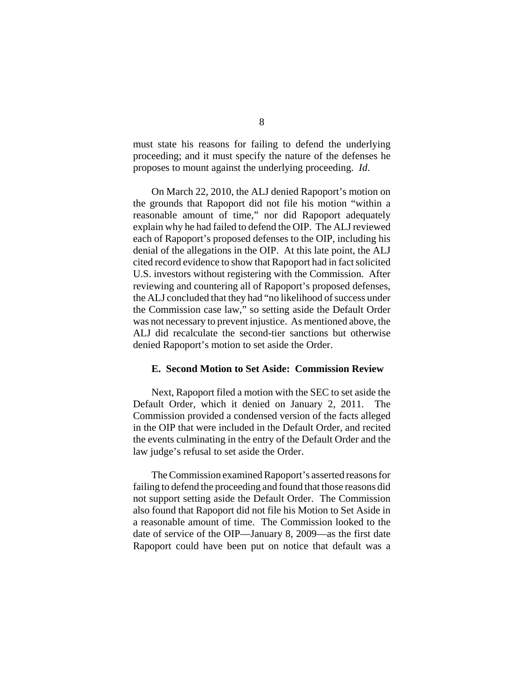must state his reasons for failing to defend the underlying proceeding; and it must specify the nature of the defenses he proposes to mount against the underlying proceeding. *Id*.

On March 22, 2010, the ALJ denied Rapoport's motion on the grounds that Rapoport did not file his motion "within a reasonable amount of time," nor did Rapoport adequately explain why he had failed to defend the OIP. The ALJ reviewed each of Rapoport's proposed defenses to the OIP, including his denial of the allegations in the OIP. At this late point, the ALJ cited record evidence to show that Rapoport had in fact solicited U.S. investors without registering with the Commission. After reviewing and countering all of Rapoport's proposed defenses, the ALJ concluded that they had "no likelihood of success under the Commission case law," so setting aside the Default Order was not necessary to prevent injustice. As mentioned above, the ALJ did recalculate the second-tier sanctions but otherwise denied Rapoport's motion to set aside the Order.

# **E. Second Motion to Set Aside: Commission Review**

Next, Rapoport filed a motion with the SEC to set aside the Default Order, which it denied on January 2, 2011. The Commission provided a condensed version of the facts alleged in the OIP that were included in the Default Order, and recited the events culminating in the entry of the Default Order and the law judge's refusal to set aside the Order.

The Commission examined Rapoport's asserted reasons for failing to defend the proceeding and found that those reasons did not support setting aside the Default Order. The Commission also found that Rapoport did not file his Motion to Set Aside in a reasonable amount of time. The Commission looked to the date of service of the OIP—January 8, 2009—as the first date Rapoport could have been put on notice that default was a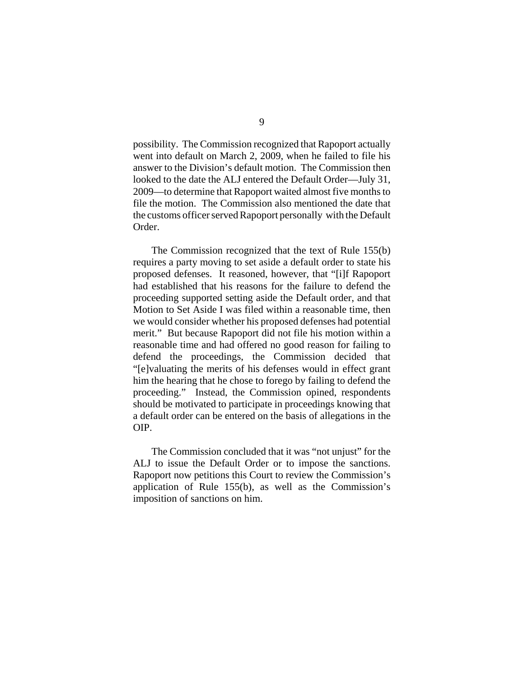possibility. The Commission recognized that Rapoport actually went into default on March 2, 2009, when he failed to file his answer to the Division's default motion. The Commission then looked to the date the ALJ entered the Default Order—July 31, 2009—to determine that Rapoport waited almost five months to file the motion. The Commission also mentioned the date that the customs officer served Rapoport personally with the Default Order.

The Commission recognized that the text of Rule 155(b) requires a party moving to set aside a default order to state his proposed defenses. It reasoned, however, that "[i]f Rapoport had established that his reasons for the failure to defend the proceeding supported setting aside the Default order, and that Motion to Set Aside I was filed within a reasonable time, then we would consider whether his proposed defenses had potential merit." But because Rapoport did not file his motion within a reasonable time and had offered no good reason for failing to defend the proceedings, the Commission decided that "[e]valuating the merits of his defenses would in effect grant him the hearing that he chose to forego by failing to defend the proceeding." Instead, the Commission opined, respondents should be motivated to participate in proceedings knowing that a default order can be entered on the basis of allegations in the OIP.

The Commission concluded that it was "not unjust" for the ALJ to issue the Default Order or to impose the sanctions. Rapoport now petitions this Court to review the Commission's application of Rule 155(b), as well as the Commission's imposition of sanctions on him.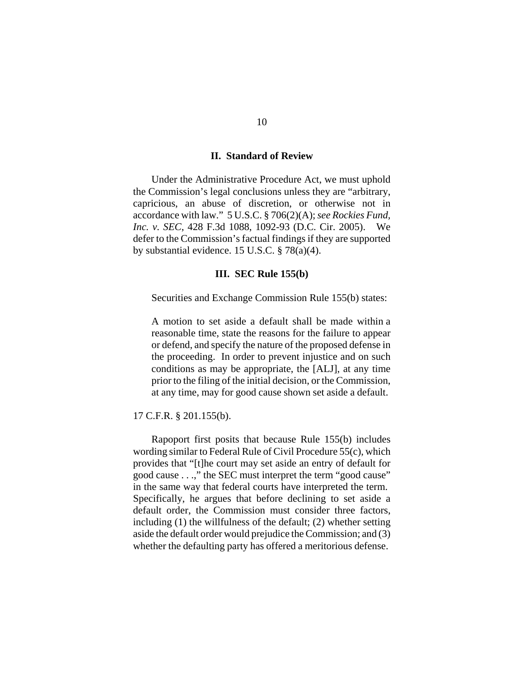### **II. Standard of Review**

Under the Administrative Procedure Act, we must uphold the Commission's legal conclusions unless they are "arbitrary, capricious, an abuse of discretion, or otherwise not in accordance with law." 5 U.S.C. § 706(2)(A); *see Rockies Fund, Inc. v. SEC*, 428 F.3d 1088, 1092-93 (D.C. Cir. 2005). We defer to the Commission's factual findings if they are supported by substantial evidence. 15 U.S.C. § 78(a)(4).

## **III. SEC Rule 155(b)**

Securities and Exchange Commission Rule 155(b) states:

 A motion to set aside a default shall be made within a reasonable time, state the reasons for the failure to appear or defend, and specify the nature of the proposed defense in the proceeding. In order to prevent injustice and on such conditions as may be appropriate, the [ALJ], at any time prior to the filing of the initial decision, or the Commission, at any time, may for good cause shown set aside a default.

17 C.F.R. § 201.155(b).

Rapoport first posits that because Rule 155(b) includes wording similar to Federal Rule of Civil Procedure 55(c), which provides that "[t]he court may set aside an entry of default for good cause . . .," the SEC must interpret the term "good cause" in the same way that federal courts have interpreted the term. Specifically, he argues that before declining to set aside a default order, the Commission must consider three factors, including (1) the willfulness of the default; (2) whether setting aside the default order would prejudice the Commission; and (3) whether the defaulting party has offered a meritorious defense.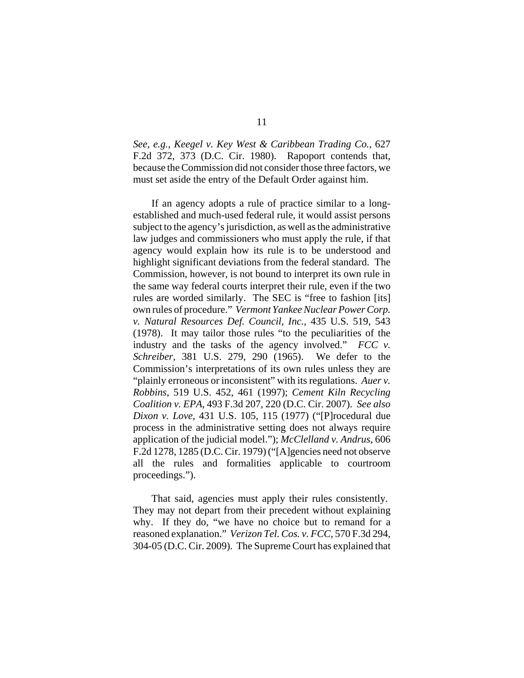*See, e.g.*, *Keegel v. Key West & Caribbean Trading Co.*, 627 F.2d 372, 373 (D.C. Cir. 1980). Rapoport contends that, because the Commission did not consider those three factors, we must set aside the entry of the Default Order against him.

If an agency adopts a rule of practice similar to a longestablished and much-used federal rule, it would assist persons subject to the agency's jurisdiction, as well as the administrative law judges and commissioners who must apply the rule, if that agency would explain how its rule is to be understood and highlight significant deviations from the federal standard. The Commission, however, is not bound to interpret its own rule in the same way federal courts interpret their rule, even if the two rules are worded similarly. The SEC is "free to fashion [its] own rules of procedure." *Vermont Yankee Nuclear Power Corp. v. Natural Resources Def. Council, Inc.*, 435 U.S. 519, 543 (1978). It may tailor those rules "to the peculiarities of the industry and the tasks of the agency involved." *FCC v. Schreiber*, 381 U.S. 279, 290 (1965). We defer to the Commission's interpretations of its own rules unless they are "plainly erroneous or inconsistent" with its regulations. *Auer v. Robbins*, 519 U.S. 452, 461 (1997); *Cement Kiln Recycling Coalition v. EPA*, 493 F.3d 207, 220 (D.C. Cir. 2007). *See also Dixon v. Love*, 431 U.S. 105, 115 (1977) ("[P]rocedural due process in the administrative setting does not always require application of the judicial model."); *McClelland v. Andrus*, 606 F.2d 1278, 1285 (D.C. Cir. 1979) ("[A]gencies need not observe all the rules and formalities applicable to courtroom proceedings.").

 That said, agencies must apply their rules consistently. They may not depart from their precedent without explaining why. If they do, "we have no choice but to remand for a reasoned explanation." *Verizon Tel. Cos. v. FCC*, 570 F.3d 294, 304-05 (D.C. Cir. 2009). The Supreme Court has explained that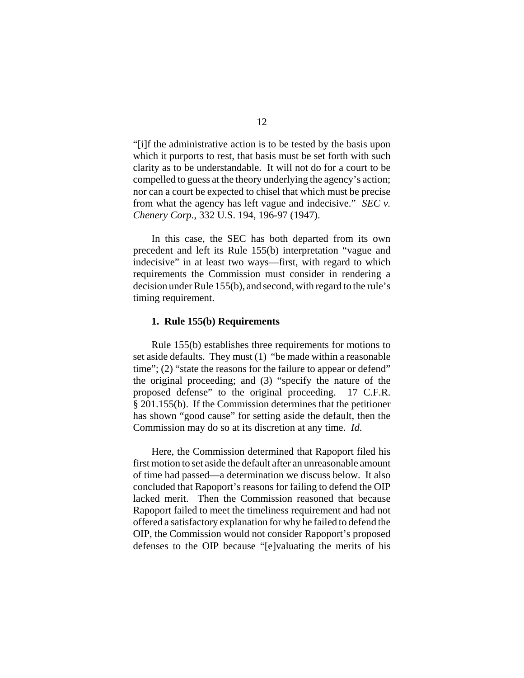"[i]f the administrative action is to be tested by the basis upon which it purports to rest, that basis must be set forth with such clarity as to be understandable. It will not do for a court to be compelled to guess at the theory underlying the agency's action; nor can a court be expected to chisel that which must be precise from what the agency has left vague and indecisive." *SEC v. Chenery Corp.*, 332 U.S. 194, 196-97 (1947).

In this case, the SEC has both departed from its own precedent and left its Rule 155(b) interpretation "vague and indecisive" in at least two ways—first, with regard to which requirements the Commission must consider in rendering a decision under Rule 155(b), and second, with regard to the rule's timing requirement.

## **1. Rule 155(b) Requirements**

Rule 155(b) establishes three requirements for motions to set aside defaults. They must (1) "be made within a reasonable time"; (2) "state the reasons for the failure to appear or defend" the original proceeding; and (3) "specify the nature of the proposed defense" to the original proceeding. 17 C.F.R. § 201.155(b). If the Commission determines that the petitioner has shown "good cause" for setting aside the default, then the Commission may do so at its discretion at any time. *Id*.

Here, the Commission determined that Rapoport filed his first motion to set aside the default after an unreasonable amount of time had passed—a determination we discuss below. It also concluded that Rapoport's reasons for failing to defend the OIP lacked merit. Then the Commission reasoned that because Rapoport failed to meet the timeliness requirement and had not offered a satisfactory explanation for why he failed to defend the OIP, the Commission would not consider Rapoport's proposed defenses to the OIP because "[e]valuating the merits of his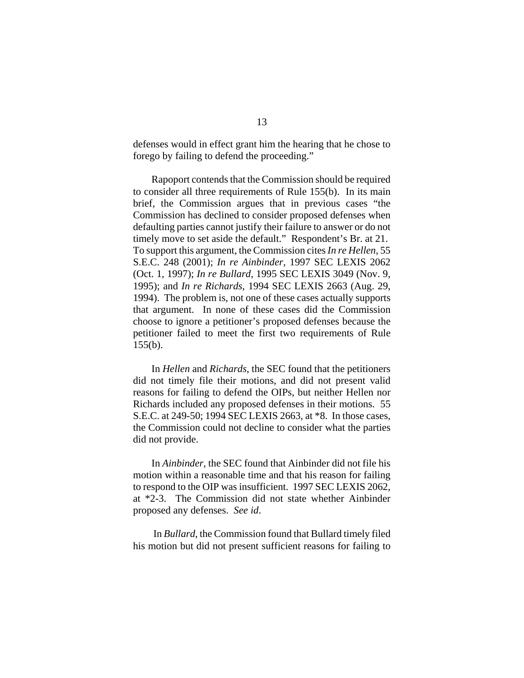defenses would in effect grant him the hearing that he chose to forego by failing to defend the proceeding."

Rapoport contends that the Commission should be required to consider all three requirements of Rule 155(b). In its main brief, the Commission argues that in previous cases "the Commission has declined to consider proposed defenses when defaulting parties cannot justify their failure to answer or do not timely move to set aside the default." Respondent's Br. at 21. To support this argument, the Commission cites *In re Hellen*, 55 S.E.C. 248 (2001); *In re Ainbinder*, 1997 SEC LEXIS 2062 (Oct. 1, 1997); *In re Bullard*, 1995 SEC LEXIS 3049 (Nov. 9, 1995); and *In re Richards*, 1994 SEC LEXIS 2663 (Aug. 29, 1994). The problem is, not one of these cases actually supports that argument. In none of these cases did the Commission choose to ignore a petitioner's proposed defenses because the petitioner failed to meet the first two requirements of Rule  $155(b)$ .

In *Hellen* and *Richards*, the SEC found that the petitioners did not timely file their motions, and did not present valid reasons for failing to defend the OIPs, but neither Hellen nor Richards included any proposed defenses in their motions. 55 S.E.C. at 249-50; 1994 SEC LEXIS 2663, at \*8. In those cases, the Commission could not decline to consider what the parties did not provide.

In *Ainbinder*, the SEC found that Ainbinder did not file his motion within a reasonable time and that his reason for failing to respond to the OIP was insufficient. 1997 SEC LEXIS 2062, at \*2-3. The Commission did not state whether Ainbinder proposed any defenses. *See id*.

 In *Bullard*, the Commission found that Bullard timely filed his motion but did not present sufficient reasons for failing to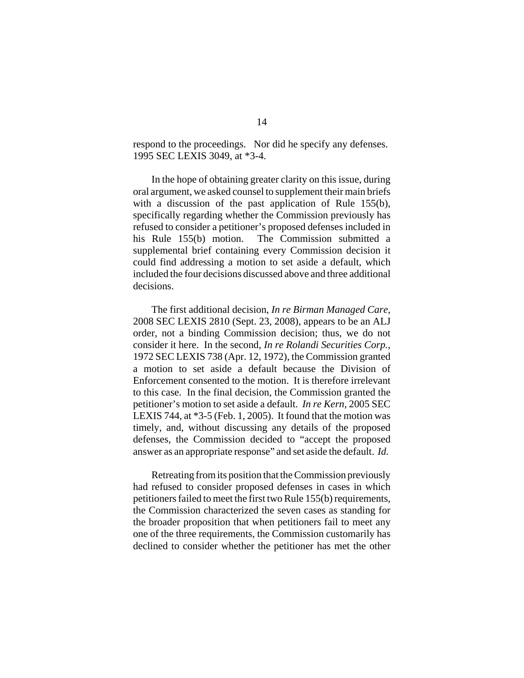respond to the proceedings. Nor did he specify any defenses. 1995 SEC LEXIS 3049, at \*3-4.

In the hope of obtaining greater clarity on this issue, during oral argument, we asked counsel to supplement their main briefs with a discussion of the past application of Rule 155(b), specifically regarding whether the Commission previously has refused to consider a petitioner's proposed defenses included in his Rule 155(b) motion. The Commission submitted a supplemental brief containing every Commission decision it could find addressing a motion to set aside a default, which included the four decisions discussed above and three additional decisions.

The first additional decision, *In re Birman Managed Care*, 2008 SEC LEXIS 2810 (Sept. 23, 2008), appears to be an ALJ order, not a binding Commission decision; thus, we do not consider it here. In the second, *In re Rolandi Securities Corp.*, 1972 SEC LEXIS 738 (Apr. 12, 1972), the Commission granted a motion to set aside a default because the Division of Enforcement consented to the motion. It is therefore irrelevant to this case. In the final decision, the Commission granted the petitioner's motion to set aside a default. *In re Kern*, 2005 SEC LEXIS 744, at \*3-5 (Feb. 1, 2005). It found that the motion was timely, and, without discussing any details of the proposed defenses, the Commission decided to "accept the proposed answer as an appropriate response" and set aside the default. *Id.*

Retreating from its position that the Commission previously had refused to consider proposed defenses in cases in which petitioners failed to meet the first two Rule 155(b) requirements, the Commission characterized the seven cases as standing for the broader proposition that when petitioners fail to meet any one of the three requirements, the Commission customarily has declined to consider whether the petitioner has met the other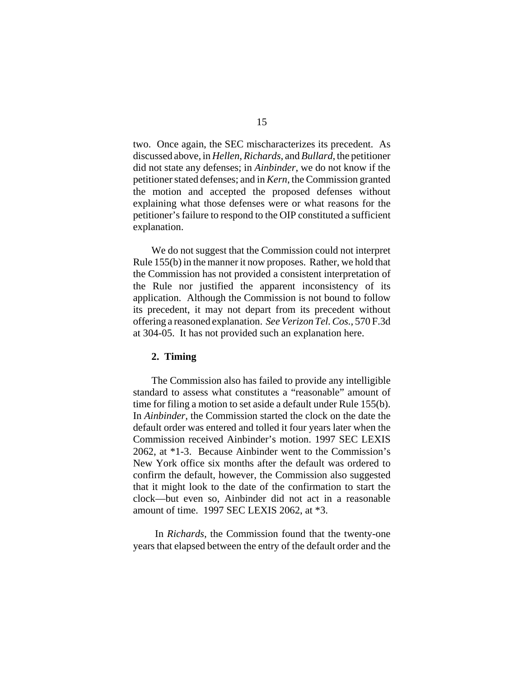two. Once again, the SEC mischaracterizes its precedent. As discussed above, in *Hellen*, *Richards*, and *Bullard*, the petitioner did not state any defenses; in *Ainbinder*, we do not know if the petitioner stated defenses; and in *Kern*, the Commission granted the motion and accepted the proposed defenses without explaining what those defenses were or what reasons for the petitioner's failure to respond to the OIP constituted a sufficient explanation.

We do not suggest that the Commission could not interpret Rule 155(b) in the manner it now proposes. Rather, we hold that the Commission has not provided a consistent interpretation of the Rule nor justified the apparent inconsistency of its application. Although the Commission is not bound to follow its precedent, it may not depart from its precedent without offering a reasoned explanation. *See Verizon Tel. Cos.*, 570 F.3d at 304-05. It has not provided such an explanation here.

#### **2. Timing**

The Commission also has failed to provide any intelligible standard to assess what constitutes a "reasonable" amount of time for filing a motion to set aside a default under Rule 155(b). In *Ainbinder*, the Commission started the clock on the date the default order was entered and tolled it four years later when the Commission received Ainbinder's motion. 1997 SEC LEXIS 2062, at \*1-3. Because Ainbinder went to the Commission's New York office six months after the default was ordered to confirm the default, however, the Commission also suggested that it might look to the date of the confirmation to start the clock—but even so, Ainbinder did not act in a reasonable amount of time. 1997 SEC LEXIS 2062, at \*3.

 In *Richards*, the Commission found that the twenty-one years that elapsed between the entry of the default order and the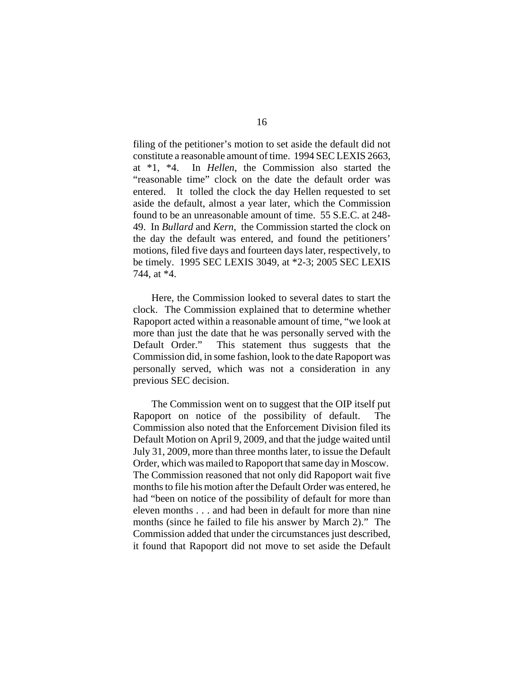filing of the petitioner's motion to set aside the default did not constitute a reasonable amount of time. 1994 SEC LEXIS 2663, at \*1, \*4. In *Hellen*, the Commission also started the "reasonable time" clock on the date the default order was entered. It tolled the clock the day Hellen requested to set aside the default, almost a year later, which the Commission found to be an unreasonable amount of time. 55 S.E.C. at 248- 49. In *Bullard* and *Kern*, the Commission started the clock on the day the default was entered, and found the petitioners' motions, filed five days and fourteen days later, respectively, to be timely. 1995 SEC LEXIS 3049, at \*2-3; 2005 SEC LEXIS 744, at \*4.

Here, the Commission looked to several dates to start the clock. The Commission explained that to determine whether Rapoport acted within a reasonable amount of time, "we look at more than just the date that he was personally served with the Default Order." This statement thus suggests that the Commission did, in some fashion, look to the date Rapoport was personally served, which was not a consideration in any previous SEC decision.

The Commission went on to suggest that the OIP itself put Rapoport on notice of the possibility of default. The Commission also noted that the Enforcement Division filed its Default Motion on April 9, 2009, and that the judge waited until July 31, 2009, more than three months later, to issue the Default Order, which was mailed to Rapoport that same day in Moscow. The Commission reasoned that not only did Rapoport wait five months to file his motion after the Default Order was entered, he had "been on notice of the possibility of default for more than eleven months . . . and had been in default for more than nine months (since he failed to file his answer by March 2)." The Commission added that under the circumstances just described, it found that Rapoport did not move to set aside the Default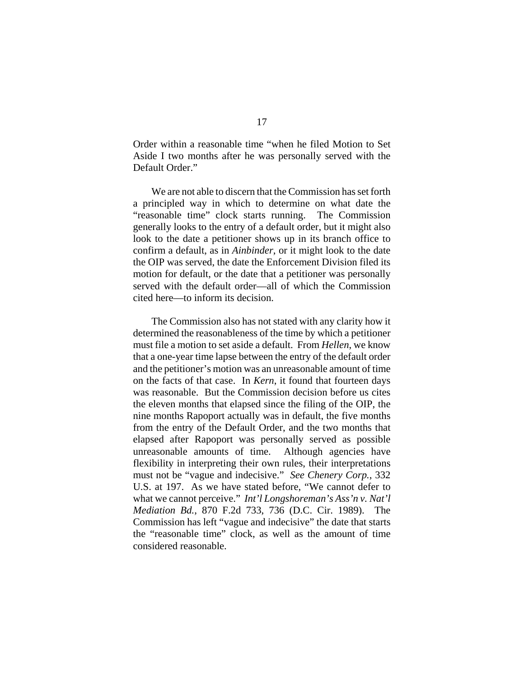Order within a reasonable time "when he filed Motion to Set Aside I two months after he was personally served with the Default Order."

We are not able to discern that the Commission has set forth a principled way in which to determine on what date the "reasonable time" clock starts running. The Commission generally looks to the entry of a default order, but it might also look to the date a petitioner shows up in its branch office to confirm a default, as in *Ainbinder*, or it might look to the date the OIP was served, the date the Enforcement Division filed its motion for default, or the date that a petitioner was personally served with the default order—all of which the Commission cited here—to inform its decision.

The Commission also has not stated with any clarity how it determined the reasonableness of the time by which a petitioner must file a motion to set aside a default. From *Hellen*, we know that a one-year time lapse between the entry of the default order and the petitioner's motion was an unreasonable amount of time on the facts of that case. In *Kern*, it found that fourteen days was reasonable. But the Commission decision before us cites the eleven months that elapsed since the filing of the OIP, the nine months Rapoport actually was in default, the five months from the entry of the Default Order, and the two months that elapsed after Rapoport was personally served as possible unreasonable amounts of time. Although agencies have flexibility in interpreting their own rules, their interpretations must not be "vague and indecisive." *See Chenery Corp.*, 332 U.S. at 197. As we have stated before, "We cannot defer to what we cannot perceive." *Int'l Longshoreman's Ass'n v. Nat'l Mediation Bd.*, 870 F.2d 733, 736 (D.C. Cir. 1989). The Commission has left "vague and indecisive" the date that starts the "reasonable time" clock, as well as the amount of time considered reasonable.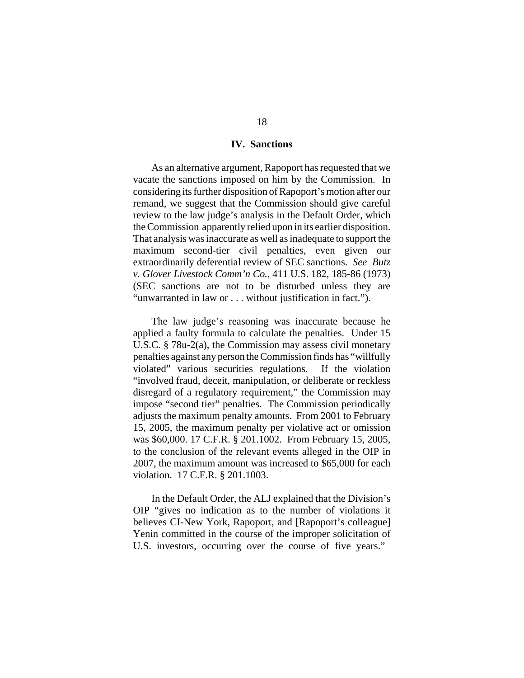#### **IV. Sanctions**

As an alternative argument, Rapoport has requested that we vacate the sanctions imposed on him by the Commission. In considering its further disposition of Rapoport's motion after our remand, we suggest that the Commission should give careful review to the law judge's analysis in the Default Order, which the Commission apparently relied upon in its earlier disposition. That analysis was inaccurate as well as inadequate to support the maximum second-tier civil penalties, even given our extraordinarily deferential review of SEC sanctions. *See Butz v. Glover Livestock Comm'n Co.*, 411 U.S. 182, 185-86 (1973) (SEC sanctions are not to be disturbed unless they are "unwarranted in law or . . . without justification in fact.").

The law judge's reasoning was inaccurate because he applied a faulty formula to calculate the penalties. Under 15 U.S.C. § 78u-2(a), the Commission may assess civil monetary penalties against any person the Commission finds has "willfully violated" various securities regulations.If the violation "involved fraud, deceit, manipulation, or deliberate or reckless disregard of a regulatory requirement," the Commission may impose "second tier" penalties. The Commission periodically adjusts the maximum penalty amounts. From 2001 to February 15, 2005, the maximum penalty per violative act or omission was \$60,000. 17 C.F.R. § 201.1002. From February 15, 2005, to the conclusion of the relevant events alleged in the OIP in 2007, the maximum amount was increased to \$65,000 for each violation. 17 C.F.R. § 201.1003.

In the Default Order, the ALJ explained that the Division's OIP "gives no indication as to the number of violations it believes CI-New York, Rapoport, and [Rapoport's colleague] Yenin committed in the course of the improper solicitation of U.S. investors, occurring over the course of five years."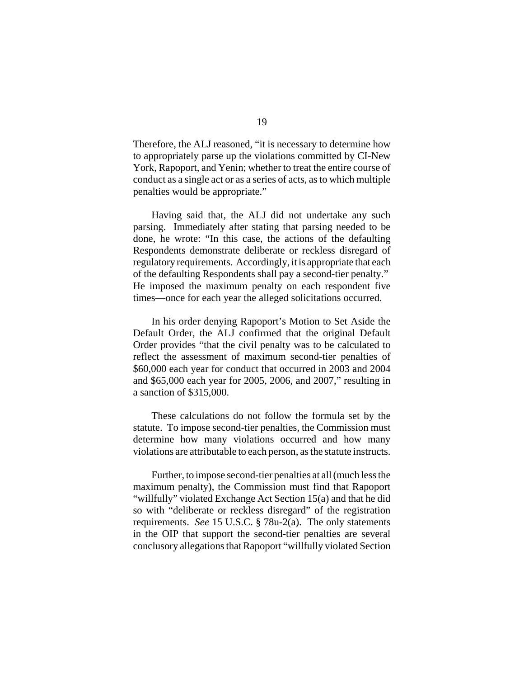Therefore, the ALJ reasoned, "it is necessary to determine how to appropriately parse up the violations committed by CI-New York, Rapoport, and Yenin; whether to treat the entire course of conduct as a single act or as a series of acts, as to which multiple penalties would be appropriate."

Having said that, the ALJ did not undertake any such parsing. Immediately after stating that parsing needed to be done, he wrote: "In this case, the actions of the defaulting Respondents demonstrate deliberate or reckless disregard of regulatory requirements. Accordingly, it is appropriate that each of the defaulting Respondents shall pay a second-tier penalty." He imposed the maximum penalty on each respondent five times—once for each year the alleged solicitations occurred.

In his order denying Rapoport's Motion to Set Aside the Default Order, the ALJ confirmed that the original Default Order provides "that the civil penalty was to be calculated to reflect the assessment of maximum second-tier penalties of \$60,000 each year for conduct that occurred in 2003 and 2004 and \$65,000 each year for 2005, 2006, and 2007," resulting in a sanction of \$315,000.

These calculations do not follow the formula set by the statute. To impose second-tier penalties, the Commission must determine how many violations occurred and how many violations are attributable to each person, as the statute instructs.

Further, to impose second-tier penalties at all (much less the maximum penalty), the Commission must find that Rapoport "willfully" violated Exchange Act Section 15(a) and that he did so with "deliberate or reckless disregard" of the registration requirements. *See* 15 U.S.C. § 78u-2(a). The only statements in the OIP that support the second-tier penalties are several conclusory allegations that Rapoport "willfully violated Section